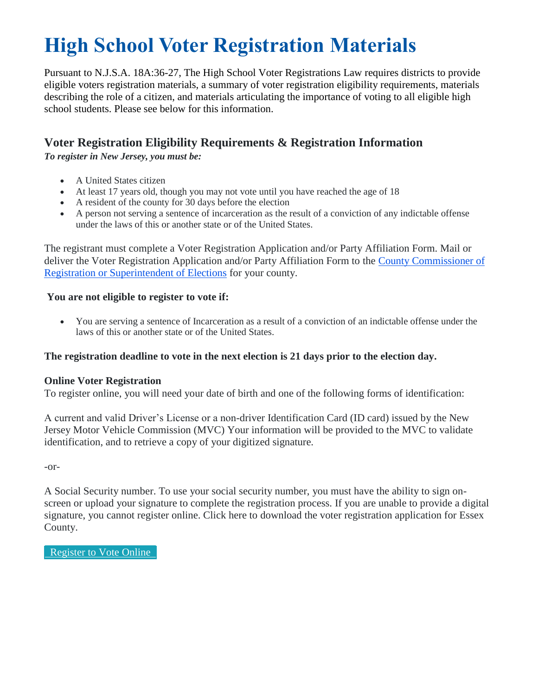# **High School Voter Registration Materials**

Pursuant to N.J.S.A. 18A:36-27, The High School Voter Registrations Law requires districts to provide eligible voters registration materials, a summary of voter registration eligibility requirements, materials describing the role of a citizen, and materials articulating the importance of voting to all eligible high school students. Please see below for this information.

# **Voter Registration Eligibility Requirements & Registration Information**

*To register in New Jersey, you must be:*

- A United States citizen
- At least 17 years old, though you may not vote until you have reached the age of 18
- A resident of the county for 30 days before the election
- A person not serving a sentence of incarceration as the result of a conviction of any indictable offense under the laws of this or another state or of the United States.

The registrant must complete a Voter Registration Application and/or Party Affiliation Form. Mail or deliver the Voter Registration Application and/or Party Affiliation Form to the [County Commissioner of](https://www.state.nj.us/state/elections/county-election-officals.shtml)  [Registration or Superintendent of Elections](https://www.state.nj.us/state/elections/county-election-officals.shtml) for your county.

#### **You are not eligible to register to vote if:**

 You are serving a sentence of Incarceration as a result of a conviction of an indictable offense under the laws of this or another state or of the United States.

### **The registration deadline to vote in the next election is 21 days prior to the election day.**

#### **Online Voter Registration**

To register online, you will need your date of birth and one of the following forms of identification:

A current and valid Driver's License or a non-driver Identification Card (ID card) issued by the New Jersey Motor Vehicle Commission (MVC) Your information will be provided to the MVC to validate identification, and to retrieve a copy of your digitized signature.

-or-

A Social Security number. To use your social security number, you must have the ability to sign onscreen or upload your signature to complete the registration process. If you are unable to provide a digital signature, you cannot register online. Click here to download the voter registration application for Essex County.

 [Register](https://voter.svrs.nj.gov/register) to Vote Online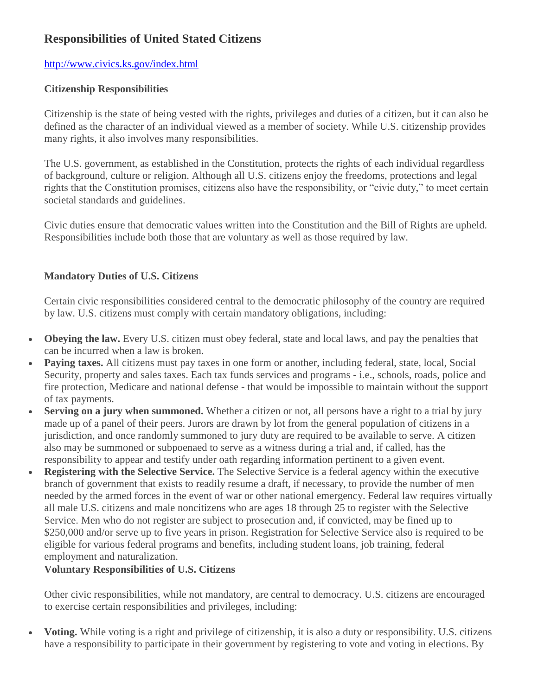# **Responsibilities of United Stated Citizens**

## <http://www.civics.ks.gov/index.html>

## **Citizenship Responsibilities**

Citizenship is the state of being vested with the rights, privileges and duties of a citizen, but it can also be defined as the character of an individual viewed as a member of society. While U.S. citizenship provides many rights, it also involves many responsibilities.

The U.S. government, as established in the Constitution, protects the rights of each individual regardless of background, culture or religion. Although all U.S. citizens enjoy the freedoms, protections and legal rights that the Constitution promises, citizens also have the responsibility, or "civic duty," to meet certain societal standards and guidelines.

Civic duties ensure that democratic values written into the Constitution and the Bill of Rights are upheld. Responsibilities include both those that are voluntary as well as those required by law.

## **Mandatory Duties of U.S. Citizens**

Certain civic responsibilities considered central to the democratic philosophy of the country are required by law. U.S. citizens must comply with certain mandatory obligations, including:

- **Obeying the law.** Every U.S. citizen must obey federal, state and local laws, and pay the penalties that can be incurred when a law is broken.
- **Paying taxes.** All citizens must pay taxes in one form or another, including federal, state, local, Social Security, property and sales taxes. Each tax funds services and programs - i.e., schools, roads, police and fire protection, Medicare and national defense - that would be impossible to maintain without the support of tax payments.
- **Serving on a jury when summoned.** Whether a citizen or not, all persons have a right to a trial by jury made up of a panel of their peers. Jurors are drawn by lot from the general population of citizens in a jurisdiction, and once randomly summoned to jury duty are required to be available to serve. A citizen also may be summoned or subpoenaed to serve as a witness during a trial and, if called, has the responsibility to appear and testify under oath regarding information pertinent to a given event.
- **Registering with the Selective Service.** The Selective Service is a federal agency within the executive branch of government that exists to readily resume a draft, if necessary, to provide the number of men needed by the armed forces in the event of war or other national emergency. Federal law requires virtually all male U.S. citizens and male noncitizens who are ages 18 through 25 to register with the Selective Service. Men who do not register are subject to prosecution and, if convicted, may be fined up to \$250,000 and/or serve up to five years in prison. Registration for Selective Service also is required to be eligible for various federal programs and benefits, including student loans, job training, federal employment and naturalization.

### **Voluntary Responsibilities of U.S. Citizens**

Other civic responsibilities, while not mandatory, are central to democracy. U.S. citizens are encouraged to exercise certain responsibilities and privileges, including:

 **Voting.** While voting is a right and privilege of citizenship, it is also a duty or responsibility. U.S. citizens have a responsibility to participate in their government by registering to vote and voting in elections. By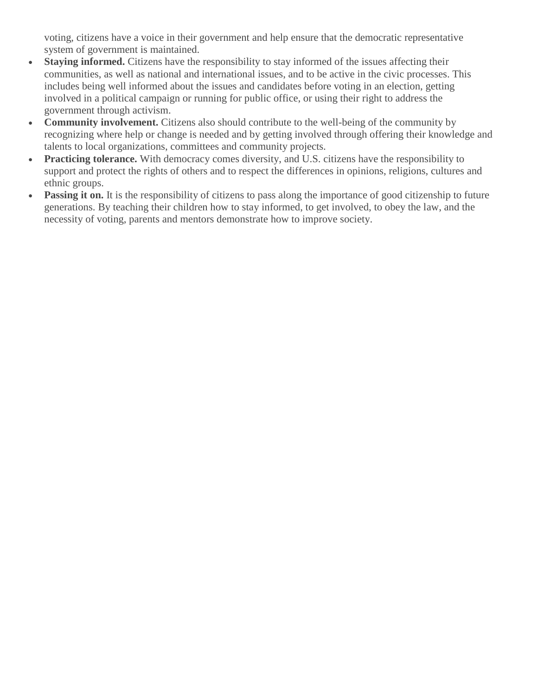voting, citizens have a voice in their government and help ensure that the democratic representative system of government is maintained.

- **Staying informed.** Citizens have the responsibility to stay informed of the issues affecting their communities, as well as national and international issues, and to be active in the civic processes. This includes being well informed about the issues and candidates before voting in an election, getting involved in a political campaign or running for public office, or using their right to address the government through activism.
- **Community involvement.** Citizens also should contribute to the well-being of the community by recognizing where help or change is needed and by getting involved through offering their knowledge and talents to local organizations, committees and community projects.
- **Practicing tolerance.** With democracy comes diversity, and U.S. citizens have the responsibility to support and protect the rights of others and to respect the differences in opinions, religions, cultures and ethnic groups.
- **Passing it on.** It is the responsibility of citizens to pass along the importance of good citizenship to future generations. By teaching their children how to stay informed, to get involved, to obey the law, and the necessity of voting, parents and mentors demonstrate how to improve society.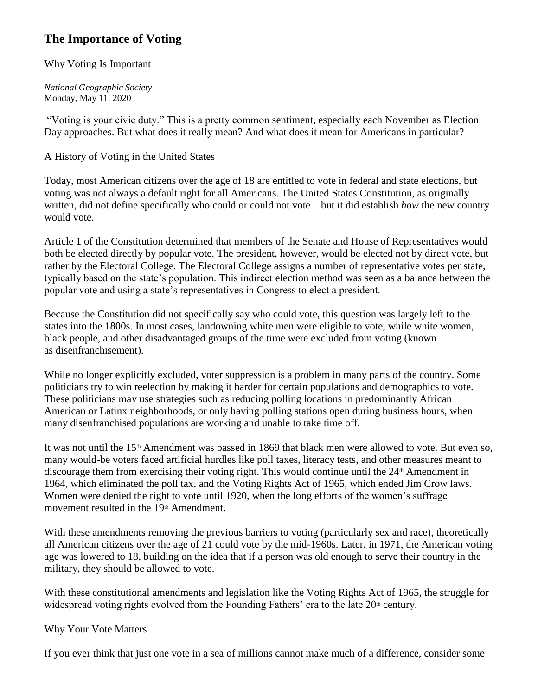# **The Importance of Voting**

Why Voting Is Important

*National Geographic Society* Monday, May 11, 2020

"Voting is your civic duty." This is a pretty common sentiment, especially each November as Election Day approaches. But what does it really mean? And what does it mean for Americans in particular?

A History of Voting in the United States

Today, most American citizens over the age of 18 are entitled to vote in federal and state elections, but voting was not always a default right for all Americans. The United States Constitution, as originally written, did not define specifically who could or could not vote—but it did establish *how* the new country would vote.

Article 1 of the Constitution determined that members of the Senate and House of Representatives would both be elected directly by popular vote. The president, however, would be elected not by direct vote, but rather by the Electoral College. The Electoral College assigns a number of representative votes per state, typically based on the state's population. This indirect election method was seen as a balance between the popular vote and using a state's representatives in Congress to elect a president.

Because the Constitution did not specifically say who could vote, this question was largely left to the states into the 1800s. In most cases, landowning white men were eligible to vote, while white women, black people, and other disadvantaged groups of the time were excluded from voting (known as disenfranchisement).

While no longer explicitly excluded, voter suppression is a problem in many parts of the country. Some politicians try to win reelection by making it harder for certain populations and demographics to vote. These politicians may use strategies such as reducing polling locations in predominantly African American or Latinx neighborhoods, or only having polling stations open during business hours, when many disenfranchised populations are working and unable to take time off.

It was not until the 15th Amendment was passed in 1869 that black men were allowed to vote. But even so, many would-be voters faced artificial hurdles like poll taxes, literacy tests, and other measures meant to discourage them from exercising their voting right. This would continue until the  $24<sup>th</sup>$  Amendment in 1964, which eliminated the poll tax, and the Voting Rights Act of 1965, which ended Jim Crow laws. Women were denied the right to vote until 1920, when the long efforts of the women's suffrage movement resulted in the 19th Amendment.

With these amendments removing the previous barriers to voting (particularly sex and race), theoretically all American citizens over the age of 21 could vote by the mid-1960s. Later, in 1971, the American voting age was lowered to 18, building on the idea that if a person was old enough to serve their country in the military, they should be allowed to vote.

With these constitutional amendments and legislation like the Voting Rights Act of 1965, the struggle for widespread voting rights evolved from the Founding Fathers' era to the late  $20<sup>th</sup>$  century.

Why Your Vote Matters

If you ever think that just one vote in a sea of millions cannot make much of a difference, consider some